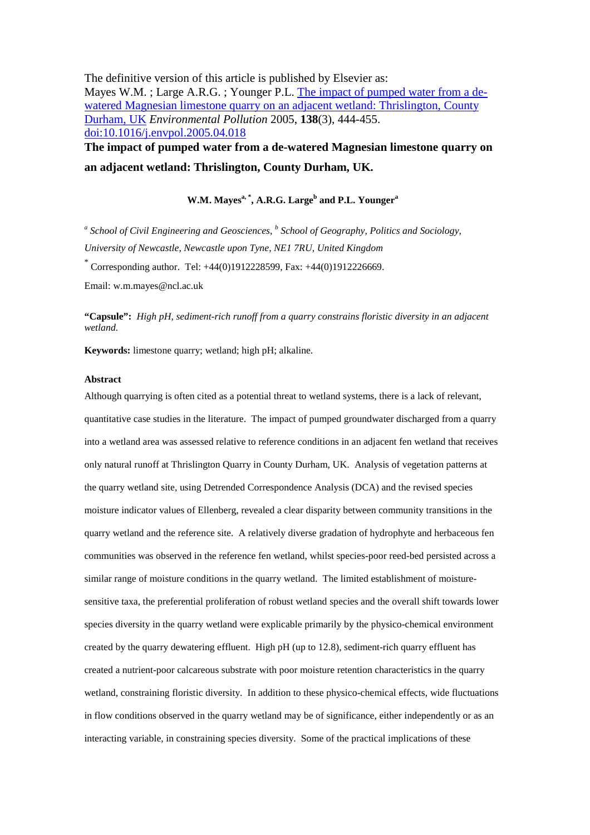The definitive version of this article is published by Elsevier as: Mayes W.M.; Large A.R.G.; Younger P.L. The impact of pumped water from a dewatered Magnesian limestone quarry on an adjacent wetland: Thrislington, County Durham, UK *Environmental Pollution* 2005, **138**(3), 444-455. doi:10.1016/j.envpol.2005.04.018 **The impact of pumped water from a de-watered Magnesian limestone quarry on** 

**an adjacent wetland: Thrislington, County Durham, UK.** 

# **W.M. Mayesa, \*, A.R.G. Large<sup>b</sup> and P.L. Younger<sup>a</sup>**

<sup>a</sup> School of Civil Engineering and Geosciences, <sup>b</sup> School of Geography, Politics and Sociology, *University of Newcastle, Newcastle upon Tyne, NE1 7RU, United Kingdom* 

\* Corresponding author. Tel: +44(0)1912228599, Fax: +44(0)1912226669.

Email: w.m.mayes@ncl.ac.uk

**"Capsule":** *High pH, sediment-rich runoff from a quarry constrains floristic diversity in an adjacent wetland.* 

**Keywords:** limestone quarry; wetland; high pH; alkaline.

# **Abstract**

Although quarrying is often cited as a potential threat to wetland systems, there is a lack of relevant, quantitative case studies in the literature. The impact of pumped groundwater discharged from a quarry into a wetland area was assessed relative to reference conditions in an adjacent fen wetland that receives only natural runoff at Thrislington Quarry in County Durham, UK. Analysis of vegetation patterns at the quarry wetland site, using Detrended Correspondence Analysis (DCA) and the revised species moisture indicator values of Ellenberg, revealed a clear disparity between community transitions in the quarry wetland and the reference site. A relatively diverse gradation of hydrophyte and herbaceous fen communities was observed in the reference fen wetland, whilst species-poor reed-bed persisted across a similar range of moisture conditions in the quarry wetland. The limited establishment of moisturesensitive taxa, the preferential proliferation of robust wetland species and the overall shift towards lower species diversity in the quarry wetland were explicable primarily by the physico-chemical environment created by the quarry dewatering effluent. High pH (up to 12.8), sediment-rich quarry effluent has created a nutrient-poor calcareous substrate with poor moisture retention characteristics in the quarry wetland, constraining floristic diversity. In addition to these physico-chemical effects, wide fluctuations in flow conditions observed in the quarry wetland may be of significance, either independently or as an interacting variable, in constraining species diversity. Some of the practical implications of these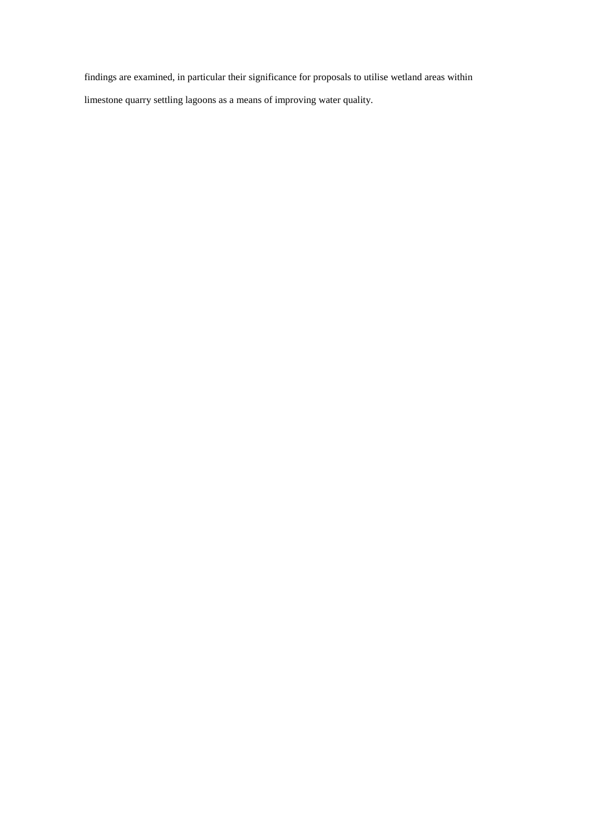findings are examined, in particular their significance for proposals to utilise wetland areas within

limestone quarry settling lagoons as a means of improving water quality.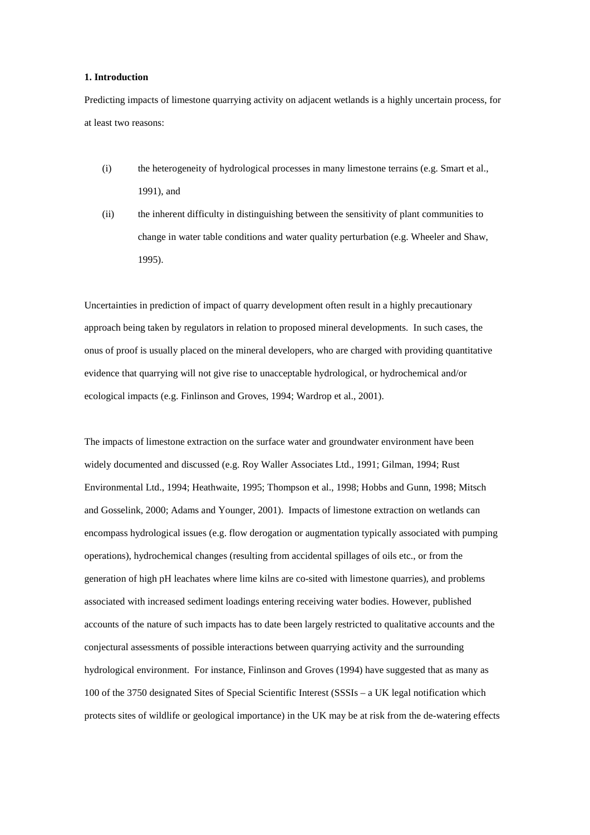### **1. Introduction**

Predicting impacts of limestone quarrying activity on adjacent wetlands is a highly uncertain process, for at least two reasons:

- (i) the heterogeneity of hydrological processes in many limestone terrains (e.g. Smart et al., 1991), and
- (ii) the inherent difficulty in distinguishing between the sensitivity of plant communities to change in water table conditions and water quality perturbation (e.g. Wheeler and Shaw, 1995).

Uncertainties in prediction of impact of quarry development often result in a highly precautionary approach being taken by regulators in relation to proposed mineral developments. In such cases, the onus of proof is usually placed on the mineral developers, who are charged with providing quantitative evidence that quarrying will not give rise to unacceptable hydrological, or hydrochemical and/or ecological impacts (e.g. Finlinson and Groves, 1994; Wardrop et al., 2001).

The impacts of limestone extraction on the surface water and groundwater environment have been widely documented and discussed (e.g. Roy Waller Associates Ltd., 1991; Gilman, 1994; Rust Environmental Ltd., 1994; Heathwaite, 1995; Thompson et al., 1998; Hobbs and Gunn, 1998; Mitsch and Gosselink, 2000; Adams and Younger, 2001). Impacts of limestone extraction on wetlands can encompass hydrological issues (e.g. flow derogation or augmentation typically associated with pumping operations), hydrochemical changes (resulting from accidental spillages of oils etc., or from the generation of high pH leachates where lime kilns are co-sited with limestone quarries), and problems associated with increased sediment loadings entering receiving water bodies. However, published accounts of the nature of such impacts has to date been largely restricted to qualitative accounts and the conjectural assessments of possible interactions between quarrying activity and the surrounding hydrological environment. For instance, Finlinson and Groves (1994) have suggested that as many as 100 of the 3750 designated Sites of Special Scientific Interest (SSSIs – a UK legal notification which protects sites of wildlife or geological importance) in the UK may be at risk from the de-watering effects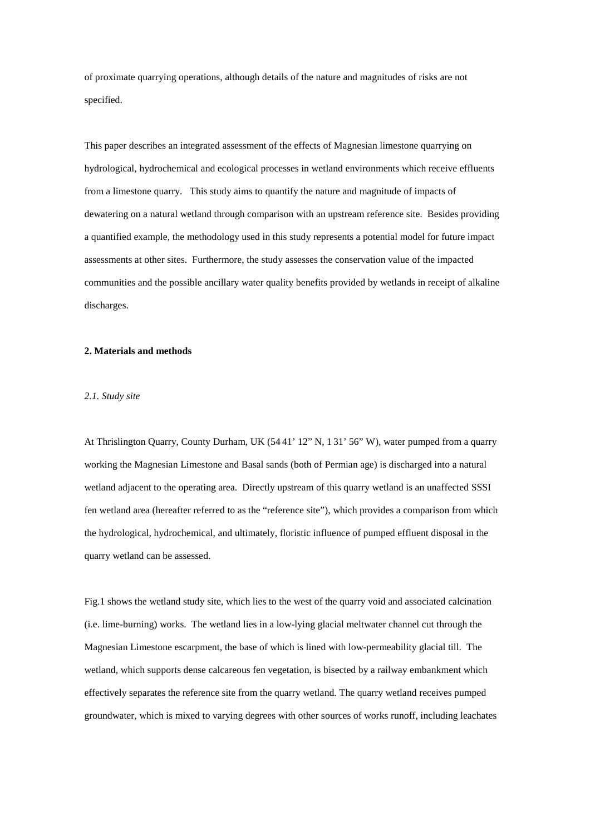of proximate quarrying operations, although details of the nature and magnitudes of risks are not specified.

This paper describes an integrated assessment of the effects of Magnesian limestone quarrying on hydrological, hydrochemical and ecological processes in wetland environments which receive effluents from a limestone quarry. This study aims to quantify the nature and magnitude of impacts of dewatering on a natural wetland through comparison with an upstream reference site. Besides providing a quantified example, the methodology used in this study represents a potential model for future impact assessments at other sites. Furthermore, the study assesses the conservation value of the impacted communities and the possible ancillary water quality benefits provided by wetlands in receipt of alkaline discharges.

### **2. Materials and methods**

# *2.1. Study site*

At Thrislington Quarry, County Durham, UK (54 41' 12" N, 1 31' 56" W), water pumped from a quarry working the Magnesian Limestone and Basal sands (both of Permian age) is discharged into a natural wetland adjacent to the operating area. Directly upstream of this quarry wetland is an unaffected SSSI fen wetland area (hereafter referred to as the "reference site"), which provides a comparison from which the hydrological, hydrochemical, and ultimately, floristic influence of pumped effluent disposal in the quarry wetland can be assessed.

Fig.1 shows the wetland study site, which lies to the west of the quarry void and associated calcination (i.e. lime-burning) works. The wetland lies in a low-lying glacial meltwater channel cut through the Magnesian Limestone escarpment, the base of which is lined with low-permeability glacial till. The wetland, which supports dense calcareous fen vegetation, is bisected by a railway embankment which effectively separates the reference site from the quarry wetland. The quarry wetland receives pumped groundwater, which is mixed to varying degrees with other sources of works runoff, including leachates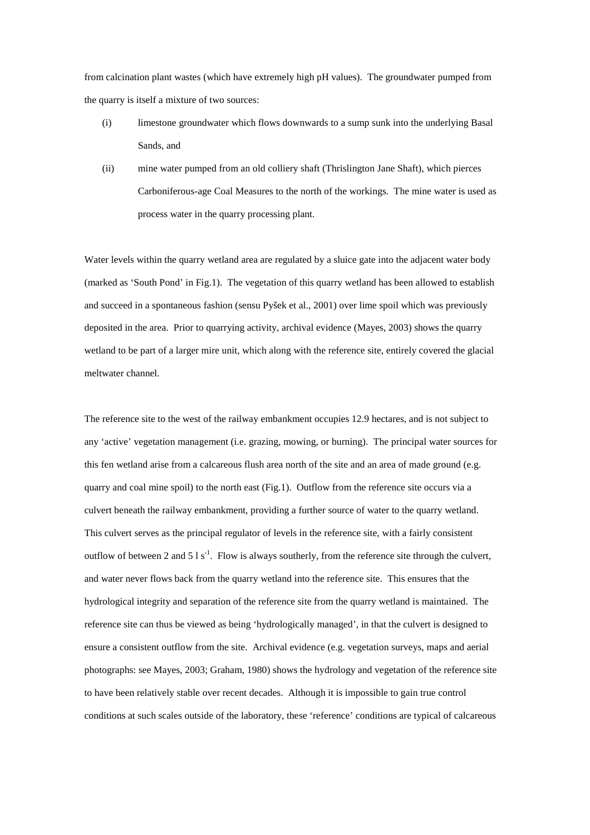from calcination plant wastes (which have extremely high pH values). The groundwater pumped from the quarry is itself a mixture of two sources:

- (i) limestone groundwater which flows downwards to a sump sunk into the underlying Basal Sands, and
- (ii) mine water pumped from an old colliery shaft (Thrislington Jane Shaft), which pierces Carboniferous-age Coal Measures to the north of the workings. The mine water is used as process water in the quarry processing plant.

Water levels within the quarry wetland area are regulated by a sluice gate into the adjacent water body (marked as 'South Pond' in Fig.1). The vegetation of this quarry wetland has been allowed to establish and succeed in a spontaneous fashion (sensu Pyšek et al., 2001) over lime spoil which was previously deposited in the area. Prior to quarrying activity, archival evidence (Mayes, 2003) shows the quarry wetland to be part of a larger mire unit, which along with the reference site, entirely covered the glacial meltwater channel.

The reference site to the west of the railway embankment occupies 12.9 hectares, and is not subject to any 'active' vegetation management (i.e. grazing, mowing, or burning). The principal water sources for this fen wetland arise from a calcareous flush area north of the site and an area of made ground (e.g. quarry and coal mine spoil) to the north east (Fig.1). Outflow from the reference site occurs via a culvert beneath the railway embankment, providing a further source of water to the quarry wetland. This culvert serves as the principal regulator of levels in the reference site, with a fairly consistent outflow of between 2 and 5 l s<sup>-1</sup>. Flow is always southerly, from the reference site through the culvert, and water never flows back from the quarry wetland into the reference site. This ensures that the hydrological integrity and separation of the reference site from the quarry wetland is maintained. The reference site can thus be viewed as being 'hydrologically managed', in that the culvert is designed to ensure a consistent outflow from the site. Archival evidence (e.g. vegetation surveys, maps and aerial photographs: see Mayes, 2003; Graham, 1980) shows the hydrology and vegetation of the reference site to have been relatively stable over recent decades. Although it is impossible to gain true control conditions at such scales outside of the laboratory, these 'reference' conditions are typical of calcareous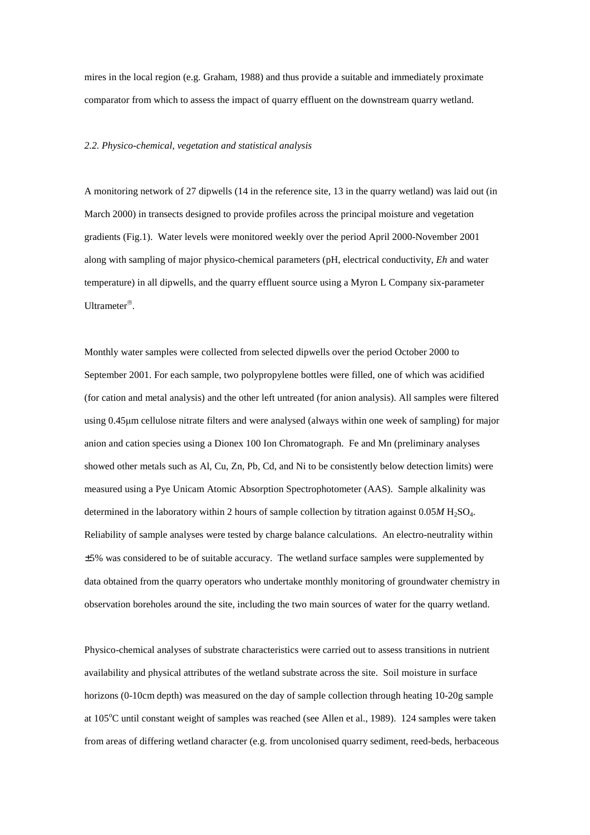mires in the local region (e.g. Graham, 1988) and thus provide a suitable and immediately proximate comparator from which to assess the impact of quarry effluent on the downstream quarry wetland.

# *2.2. Physico-chemical, vegetation and statistical analysis*

A monitoring network of 27 dipwells (14 in the reference site, 13 in the quarry wetland) was laid out (in March 2000) in transects designed to provide profiles across the principal moisture and vegetation gradients (Fig.1). Water levels were monitored weekly over the period April 2000-November 2001 along with sampling of major physico-chemical parameters (pH, electrical conductivity, *Eh* and water temperature) in all dipwells, and the quarry effluent source using a Myron L Company six-parameter Ultrameter<sup>®</sup>.

Monthly water samples were collected from selected dipwells over the period October 2000 to September 2001. For each sample, two polypropylene bottles were filled, one of which was acidified (for cation and metal analysis) and the other left untreated (for anion analysis). All samples were filtered using 0.45µm cellulose nitrate filters and were analysed (always within one week of sampling) for major anion and cation species using a Dionex 100 Ion Chromatograph. Fe and Mn (preliminary analyses showed other metals such as Al, Cu, Zn, Pb, Cd, and Ni to be consistently below detection limits) were measured using a Pye Unicam Atomic Absorption Spectrophotometer (AAS). Sample alkalinity was determined in the laboratory within 2 hours of sample collection by titration against  $0.05M$  H<sub>2</sub>SO<sub>4</sub>. Reliability of sample analyses were tested by charge balance calculations. An electro-neutrality within ±5% was considered to be of suitable accuracy. The wetland surface samples were supplemented by data obtained from the quarry operators who undertake monthly monitoring of groundwater chemistry in observation boreholes around the site, including the two main sources of water for the quarry wetland.

Physico-chemical analyses of substrate characteristics were carried out to assess transitions in nutrient availability and physical attributes of the wetland substrate across the site. Soil moisture in surface horizons (0-10cm depth) was measured on the day of sample collection through heating 10-20g sample at 105<sup>o</sup>C until constant weight of samples was reached (see Allen et al., 1989). 124 samples were taken from areas of differing wetland character (e.g. from uncolonised quarry sediment, reed-beds, herbaceous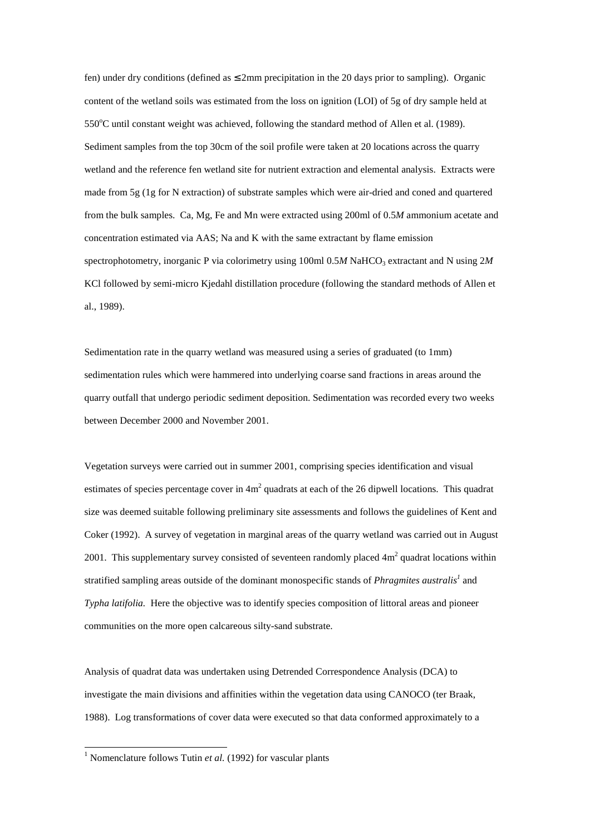fen) under dry conditions (defined as  $\leq$  2mm precipitation in the 20 days prior to sampling). Organic content of the wetland soils was estimated from the loss on ignition (LOI) of 5g of dry sample held at 550°C until constant weight was achieved, following the standard method of Allen et al. (1989). Sediment samples from the top 30cm of the soil profile were taken at 20 locations across the quarry wetland and the reference fen wetland site for nutrient extraction and elemental analysis. Extracts were made from 5g (1g for N extraction) of substrate samples which were air-dried and coned and quartered from the bulk samples. Ca, Mg, Fe and Mn were extracted using 200ml of 0.5*M* ammonium acetate and concentration estimated via AAS; Na and K with the same extractant by flame emission spectrophotometry, inorganic P via colorimetry using  $100 \text{m}$  0.5*M* NaHCO<sub>3</sub> extractant and N using  $2M$ KCl followed by semi-micro Kjedahl distillation procedure (following the standard methods of Allen et al., 1989).

Sedimentation rate in the quarry wetland was measured using a series of graduated (to 1mm) sedimentation rules which were hammered into underlying coarse sand fractions in areas around the quarry outfall that undergo periodic sediment deposition. Sedimentation was recorded every two weeks between December 2000 and November 2001.

Vegetation surveys were carried out in summer 2001, comprising species identification and visual estimates of species percentage cover in  $4m^2$  quadrats at each of the 26 dipwell locations. This quadrat size was deemed suitable following preliminary site assessments and follows the guidelines of Kent and Coker (1992). A survey of vegetation in marginal areas of the quarry wetland was carried out in August 2001. This supplementary survey consisted of seventeen randomly placed  $4m<sup>2</sup>$  quadrat locations within stratified sampling areas outside of the dominant monospecific stands of *Phragmites australis<sup>1</sup>* and *Typha latifolia.* Here the objective was to identify species composition of littoral areas and pioneer communities on the more open calcareous silty-sand substrate.

Analysis of quadrat data was undertaken using Detrended Correspondence Analysis (DCA) to investigate the main divisions and affinities within the vegetation data using CANOCO (ter Braak, 1988). Log transformations of cover data were executed so that data conformed approximately to a

<sup>&</sup>lt;sup>1</sup> Nomenclature follows Tutin *et al.* (1992) for vascular plants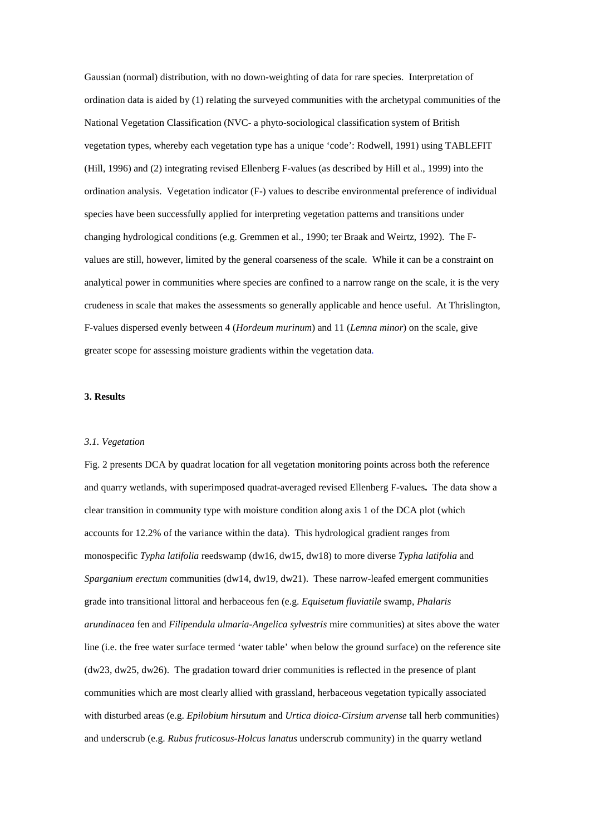Gaussian (normal) distribution, with no down-weighting of data for rare species. Interpretation of ordination data is aided by (1) relating the surveyed communities with the archetypal communities of the National Vegetation Classification (NVC- a phyto-sociological classification system of British vegetation types, whereby each vegetation type has a unique 'code': Rodwell, 1991) using TABLEFIT (Hill, 1996) and (2) integrating revised Ellenberg F-values (as described by Hill et al., 1999) into the ordination analysis. Vegetation indicator (F-) values to describe environmental preference of individual species have been successfully applied for interpreting vegetation patterns and transitions under changing hydrological conditions (e.g. Gremmen et al., 1990; ter Braak and Weirtz, 1992). The Fvalues are still, however, limited by the general coarseness of the scale. While it can be a constraint on analytical power in communities where species are confined to a narrow range on the scale, it is the very crudeness in scale that makes the assessments so generally applicable and hence useful. At Thrislington, F-values dispersed evenly between 4 (*Hordeum murinum*) and 11 (*Lemna minor*) on the scale, give greater scope for assessing moisture gradients within the vegetation data.

# **3. Results**

#### *3.1. Vegetation*

Fig. 2 presents DCA by quadrat location for all vegetation monitoring points across both the reference and quarry wetlands, with superimposed quadrat-averaged revised Ellenberg F-values**.** The data show a clear transition in community type with moisture condition along axis 1 of the DCA plot (which accounts for 12.2% of the variance within the data). This hydrological gradient ranges from monospecific *Typha latifolia* reedswamp (dw16, dw15, dw18) to more diverse *Typha latifolia* and *Sparganium erectum* communities (dw14, dw19, dw21). These narrow-leafed emergent communities grade into transitional littoral and herbaceous fen (e.g. *Equisetum fluviatile* swamp, *Phalaris arundinacea* fen and *Filipendula ulmaria-Angelica sylvestris* mire communities) at sites above the water line (i.e. the free water surface termed 'water table' when below the ground surface) on the reference site (dw23, dw25, dw26). The gradation toward drier communities is reflected in the presence of plant communities which are most clearly allied with grassland, herbaceous vegetation typically associated with disturbed areas (e.g. *Epilobium hirsutum* and *Urtica dioica-Cirsium arvense* tall herb communities) and underscrub (e.g. *Rubus fruticosus-Holcus lanatus* underscrub community) in the quarry wetland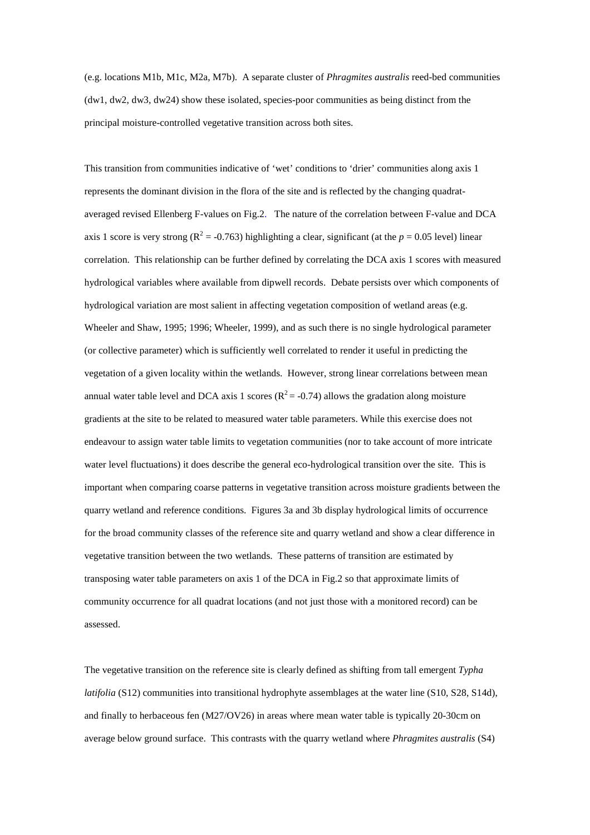(e.g. locations M1b, M1c, M2a, M7b). A separate cluster of *Phragmites australis* reed-bed communities (dw1, dw2, dw3, dw24) show these isolated, species-poor communities as being distinct from the principal moisture-controlled vegetative transition across both sites.

This transition from communities indicative of 'wet' conditions to 'drier' communities along axis 1 represents the dominant division in the flora of the site and is reflected by the changing quadrataveraged revised Ellenberg F-values on Fig.2. The nature of the correlation between F-value and DCA axis 1 score is very strong ( $R^2$  = -0.763) highlighting a clear, significant (at the  $p = 0.05$  level) linear correlation. This relationship can be further defined by correlating the DCA axis 1 scores with measured hydrological variables where available from dipwell records. Debate persists over which components of hydrological variation are most salient in affecting vegetation composition of wetland areas (e.g. Wheeler and Shaw, 1995; 1996; Wheeler, 1999), and as such there is no single hydrological parameter (or collective parameter) which is sufficiently well correlated to render it useful in predicting the vegetation of a given locality within the wetlands. However, strong linear correlations between mean annual water table level and DCA axis 1 scores ( $R^2 = -0.74$ ) allows the gradation along moisture gradients at the site to be related to measured water table parameters. While this exercise does not endeavour to assign water table limits to vegetation communities (nor to take account of more intricate water level fluctuations) it does describe the general eco-hydrological transition over the site. This is important when comparing coarse patterns in vegetative transition across moisture gradients between the quarry wetland and reference conditions. Figures 3a and 3b display hydrological limits of occurrence for the broad community classes of the reference site and quarry wetland and show a clear difference in vegetative transition between the two wetlands. These patterns of transition are estimated by transposing water table parameters on axis 1 of the DCA in Fig.2 so that approximate limits of community occurrence for all quadrat locations (and not just those with a monitored record) can be assessed.

The vegetative transition on the reference site is clearly defined as shifting from tall emergent *Typha latifolia* (S12) communities into transitional hydrophyte assemblages at the water line (S10, S28, S14d), and finally to herbaceous fen (M27/OV26) in areas where mean water table is typically 20-30cm on average below ground surface. This contrasts with the quarry wetland where *Phragmites australis* (S4)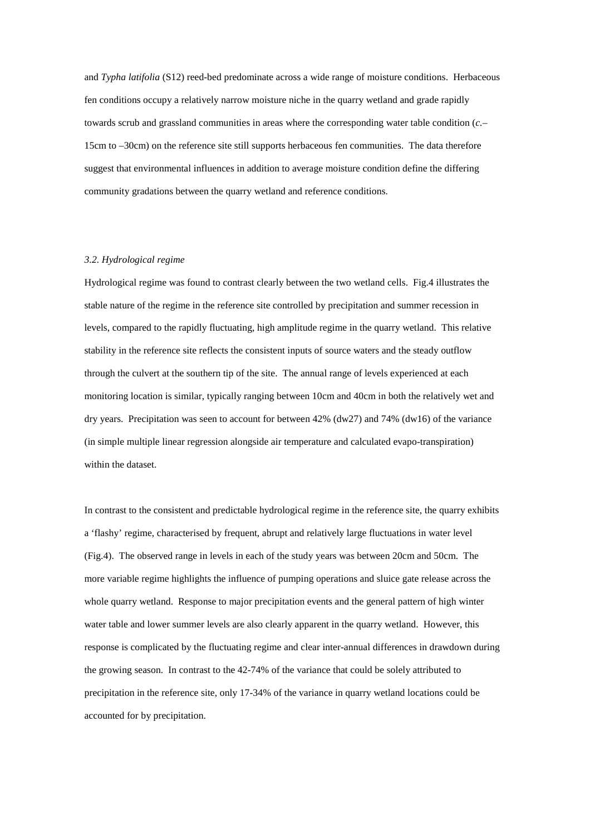and *Typha latifolia* (S12) reed-bed predominate across a wide range of moisture conditions. Herbaceous fen conditions occupy a relatively narrow moisture niche in the quarry wetland and grade rapidly towards scrub and grassland communities in areas where the corresponding water table condition (*c.*– 15cm to –30cm) on the reference site still supports herbaceous fen communities. The data therefore suggest that environmental influences in addition to average moisture condition define the differing community gradations between the quarry wetland and reference conditions.

### *3.2. Hydrological regime*

Hydrological regime was found to contrast clearly between the two wetland cells. Fig.4 illustrates the stable nature of the regime in the reference site controlled by precipitation and summer recession in levels, compared to the rapidly fluctuating, high amplitude regime in the quarry wetland. This relative stability in the reference site reflects the consistent inputs of source waters and the steady outflow through the culvert at the southern tip of the site. The annual range of levels experienced at each monitoring location is similar, typically ranging between 10cm and 40cm in both the relatively wet and dry years. Precipitation was seen to account for between 42% (dw27) and 74% (dw16) of the variance (in simple multiple linear regression alongside air temperature and calculated evapo-transpiration) within the dataset.

In contrast to the consistent and predictable hydrological regime in the reference site, the quarry exhibits a 'flashy' regime, characterised by frequent, abrupt and relatively large fluctuations in water level (Fig.4). The observed range in levels in each of the study years was between 20cm and 50cm. The more variable regime highlights the influence of pumping operations and sluice gate release across the whole quarry wetland. Response to major precipitation events and the general pattern of high winter water table and lower summer levels are also clearly apparent in the quarry wetland. However, this response is complicated by the fluctuating regime and clear inter-annual differences in drawdown during the growing season. In contrast to the 42-74% of the variance that could be solely attributed to precipitation in the reference site, only 17-34% of the variance in quarry wetland locations could be accounted for by precipitation.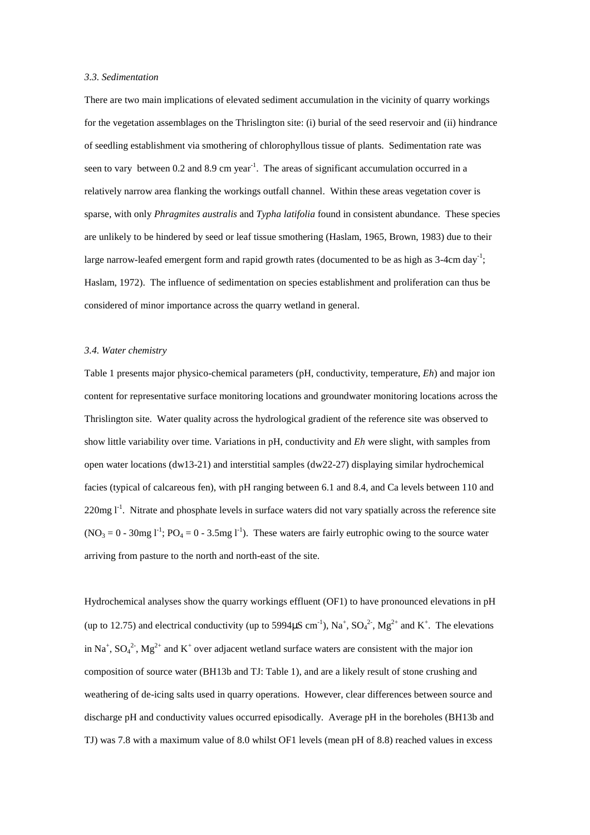### *3.3. Sedimentation*

There are two main implications of elevated sediment accumulation in the vicinity of quarry workings for the vegetation assemblages on the Thrislington site: (i) burial of the seed reservoir and (ii) hindrance of seedling establishment via smothering of chlorophyllous tissue of plants. Sedimentation rate was seen to vary between 0.2 and 8.9 cm year<sup>-1</sup>. The areas of significant accumulation occurred in a relatively narrow area flanking the workings outfall channel. Within these areas vegetation cover is sparse, with only *Phragmites australis* and *Typha latifolia* found in consistent abundance. These species are unlikely to be hindered by seed or leaf tissue smothering (Haslam, 1965, Brown, 1983) due to their large narrow-leafed emergent form and rapid growth rates (documented to be as high as  $3-4$ cm day<sup>-1</sup>; Haslam, 1972). The influence of sedimentation on species establishment and proliferation can thus be considered of minor importance across the quarry wetland in general.

### *3.4. Water chemistry*

Table 1 presents major physico-chemical parameters (pH, conductivity, temperature, *Eh*) and major ion content for representative surface monitoring locations and groundwater monitoring locations across the Thrislington site. Water quality across the hydrological gradient of the reference site was observed to show little variability over time. Variations in pH, conductivity and *Eh* were slight, with samples from open water locations (dw13-21) and interstitial samples (dw22-27) displaying similar hydrochemical facies (typical of calcareous fen), with pH ranging between 6.1 and 8.4, and Ca levels between 110 and  $220$ mg  $l^1$ . Nitrate and phosphate levels in surface waters did not vary spatially across the reference site  $(NO<sub>3</sub> = 0 - 30mg I<sup>-1</sup>; PO<sub>4</sub> = 0 - 3.5mg I<sup>-1</sup>).$  These waters are fairly eutrophic owing to the source water arriving from pasture to the north and north-east of the site.

Hydrochemical analyses show the quarry workings effluent (OF1) to have pronounced elevations in pH (up to 12.75) and electrical conductivity (up to 5994 $\mu$ S cm<sup>-1</sup>), Na<sup>+</sup>, SO<sub>4</sub><sup>2</sup>, Mg<sup>2+</sup> and K<sup>+</sup>. The elevations in Na<sup>+</sup>, SO<sub>4</sub><sup>2</sup>-, Mg<sup>2+</sup> and K<sup>+</sup> over adjacent wetland surface waters are consistent with the major ion composition of source water (BH13b and TJ: Table 1), and are a likely result of stone crushing and weathering of de-icing salts used in quarry operations. However, clear differences between source and discharge pH and conductivity values occurred episodically. Average pH in the boreholes (BH13b and TJ) was 7.8 with a maximum value of 8.0 whilst OF1 levels (mean pH of 8.8) reached values in excess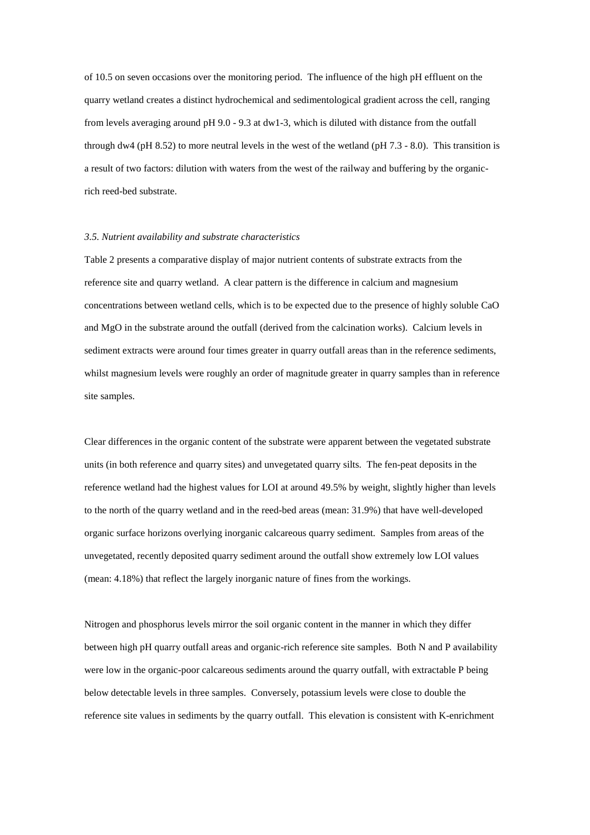of 10.5 on seven occasions over the monitoring period. The influence of the high pH effluent on the quarry wetland creates a distinct hydrochemical and sedimentological gradient across the cell, ranging from levels averaging around pH 9.0 - 9.3 at dw1-3, which is diluted with distance from the outfall through dw4 (pH 8.52) to more neutral levels in the west of the wetland (pH  $7.3 - 8.0$ ). This transition is a result of two factors: dilution with waters from the west of the railway and buffering by the organicrich reed-bed substrate.

## *3.5. Nutrient availability and substrate characteristics*

Table 2 presents a comparative display of major nutrient contents of substrate extracts from the reference site and quarry wetland. A clear pattern is the difference in calcium and magnesium concentrations between wetland cells, which is to be expected due to the presence of highly soluble CaO and MgO in the substrate around the outfall (derived from the calcination works). Calcium levels in sediment extracts were around four times greater in quarry outfall areas than in the reference sediments, whilst magnesium levels were roughly an order of magnitude greater in quarry samples than in reference site samples.

Clear differences in the organic content of the substrate were apparent between the vegetated substrate units (in both reference and quarry sites) and unvegetated quarry silts. The fen-peat deposits in the reference wetland had the highest values for LOI at around 49.5% by weight, slightly higher than levels to the north of the quarry wetland and in the reed-bed areas (mean: 31.9%) that have well-developed organic surface horizons overlying inorganic calcareous quarry sediment. Samples from areas of the unvegetated, recently deposited quarry sediment around the outfall show extremely low LOI values (mean: 4.18%) that reflect the largely inorganic nature of fines from the workings.

Nitrogen and phosphorus levels mirror the soil organic content in the manner in which they differ between high pH quarry outfall areas and organic-rich reference site samples. Both N and P availability were low in the organic-poor calcareous sediments around the quarry outfall, with extractable P being below detectable levels in three samples. Conversely, potassium levels were close to double the reference site values in sediments by the quarry outfall. This elevation is consistent with K-enrichment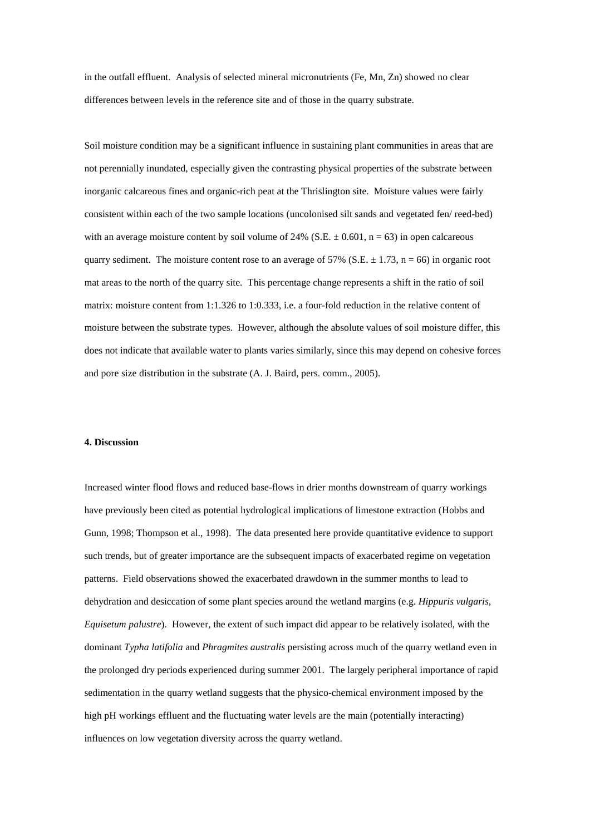in the outfall effluent. Analysis of selected mineral micronutrients (Fe, Mn, Zn) showed no clear differences between levels in the reference site and of those in the quarry substrate.

Soil moisture condition may be a significant influence in sustaining plant communities in areas that are not perennially inundated, especially given the contrasting physical properties of the substrate between inorganic calcareous fines and organic-rich peat at the Thrislington site. Moisture values were fairly consistent within each of the two sample locations (uncolonised silt sands and vegetated fen/ reed-bed) with an average moisture content by soil volume of 24% (S.E.  $\pm$  0.601, n = 63) in open calcareous quarry sediment. The moisture content rose to an average of 57% (S.E.  $\pm$  1.73, n = 66) in organic root mat areas to the north of the quarry site. This percentage change represents a shift in the ratio of soil matrix: moisture content from 1:1.326 to 1:0.333, i.e. a four-fold reduction in the relative content of moisture between the substrate types. However, although the absolute values of soil moisture differ, this does not indicate that available water to plants varies similarly, since this may depend on cohesive forces and pore size distribution in the substrate (A. J. Baird, pers. comm., 2005).

#### **4. Discussion**

Increased winter flood flows and reduced base-flows in drier months downstream of quarry workings have previously been cited as potential hydrological implications of limestone extraction (Hobbs and Gunn, 1998; Thompson et al., 1998). The data presented here provide quantitative evidence to support such trends, but of greater importance are the subsequent impacts of exacerbated regime on vegetation patterns. Field observations showed the exacerbated drawdown in the summer months to lead to dehydration and desiccation of some plant species around the wetland margins (e.g. *Hippuris vulgaris, Equisetum palustre*). However, the extent of such impact did appear to be relatively isolated, with the dominant *Typha latifolia* and *Phragmites australis* persisting across much of the quarry wetland even in the prolonged dry periods experienced during summer 2001. The largely peripheral importance of rapid sedimentation in the quarry wetland suggests that the physico-chemical environment imposed by the high pH workings effluent and the fluctuating water levels are the main (potentially interacting) influences on low vegetation diversity across the quarry wetland.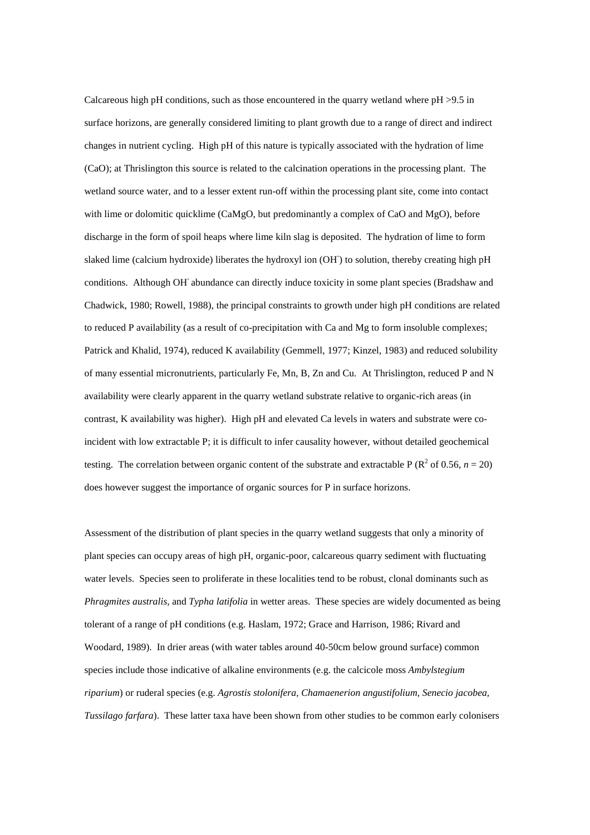Calcareous high pH conditions, such as those encountered in the quarry wetland where pH >9.5 in surface horizons, are generally considered limiting to plant growth due to a range of direct and indirect changes in nutrient cycling. High pH of this nature is typically associated with the hydration of lime (CaO); at Thrislington this source is related to the calcination operations in the processing plant. The wetland source water, and to a lesser extent run-off within the processing plant site, come into contact with lime or dolomitic quicklime ( $CaMgO$ , but predominantly a complex of  $CaO$  and  $MgO$ ), before discharge in the form of spoil heaps where lime kiln slag is deposited. The hydration of lime to form slaked lime (calcium hydroxide) liberates the hydroxyl ion (OH) to solution, thereby creating high pH conditions. Although OH- abundance can directly induce toxicity in some plant species (Bradshaw and Chadwick, 1980; Rowell, 1988), the principal constraints to growth under high pH conditions are related to reduced P availability (as a result of co-precipitation with Ca and Mg to form insoluble complexes; Patrick and Khalid, 1974), reduced K availability (Gemmell, 1977; Kinzel, 1983) and reduced solubility of many essential micronutrients, particularly Fe, Mn, B, Zn and Cu. At Thrislington, reduced P and N availability were clearly apparent in the quarry wetland substrate relative to organic-rich areas (in contrast, K availability was higher). High pH and elevated Ca levels in waters and substrate were coincident with low extractable P; it is difficult to infer causality however, without detailed geochemical testing. The correlation between organic content of the substrate and extractable  $P(R^2 \text{ of } 0.56, n = 20)$ does however suggest the importance of organic sources for P in surface horizons.

Assessment of the distribution of plant species in the quarry wetland suggests that only a minority of plant species can occupy areas of high pH, organic-poor, calcareous quarry sediment with fluctuating water levels. Species seen to proliferate in these localities tend to be robust, clonal dominants such as *Phragmites australis,* and *Typha latifolia* in wetter areas. These species are widely documented as being tolerant of a range of pH conditions (e.g. Haslam, 1972; Grace and Harrison, 1986; Rivard and Woodard, 1989). In drier areas (with water tables around 40-50cm below ground surface) common species include those indicative of alkaline environments (e.g. the calcicole moss *Ambylstegium riparium*) or ruderal species (e.g. *Agrostis stolonifera, Chamaenerion angustifolium, Senecio jacobea, Tussilago farfara*). These latter taxa have been shown from other studies to be common early colonisers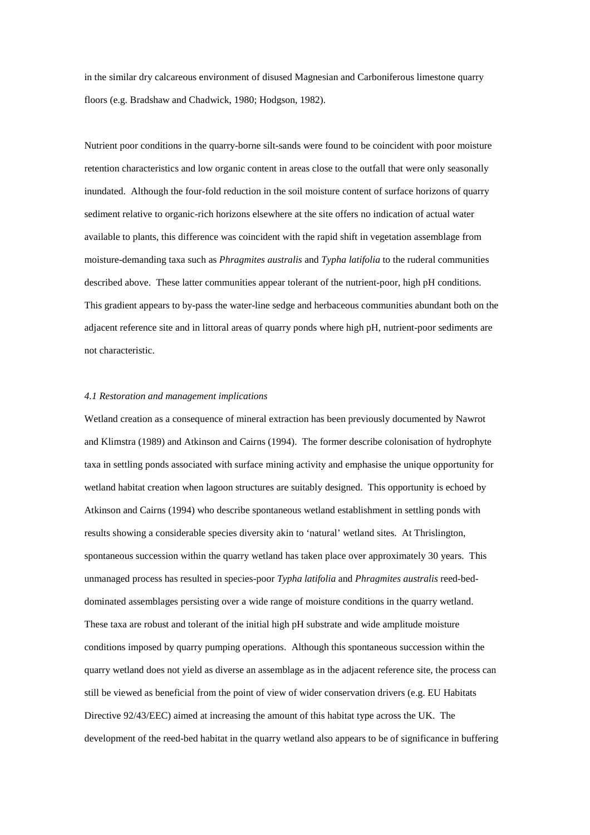in the similar dry calcareous environment of disused Magnesian and Carboniferous limestone quarry floors (e.g. Bradshaw and Chadwick, 1980; Hodgson, 1982).

Nutrient poor conditions in the quarry-borne silt-sands were found to be coincident with poor moisture retention characteristics and low organic content in areas close to the outfall that were only seasonally inundated. Although the four-fold reduction in the soil moisture content of surface horizons of quarry sediment relative to organic-rich horizons elsewhere at the site offers no indication of actual water available to plants, this difference was coincident with the rapid shift in vegetation assemblage from moisture-demanding taxa such as *Phragmites australis* and *Typha latifolia* to the ruderal communities described above. These latter communities appear tolerant of the nutrient-poor, high pH conditions. This gradient appears to by-pass the water-line sedge and herbaceous communities abundant both on the adjacent reference site and in littoral areas of quarry ponds where high pH, nutrient-poor sediments are not characteristic.

# *4.1 Restoration and management implications*

Wetland creation as a consequence of mineral extraction has been previously documented by Nawrot and Klimstra (1989) and Atkinson and Cairns (1994). The former describe colonisation of hydrophyte taxa in settling ponds associated with surface mining activity and emphasise the unique opportunity for wetland habitat creation when lagoon structures are suitably designed. This opportunity is echoed by Atkinson and Cairns (1994) who describe spontaneous wetland establishment in settling ponds with results showing a considerable species diversity akin to 'natural' wetland sites. At Thrislington, spontaneous succession within the quarry wetland has taken place over approximately 30 years. This unmanaged process has resulted in species-poor *Typha latifolia* and *Phragmites australis* reed-beddominated assemblages persisting over a wide range of moisture conditions in the quarry wetland. These taxa are robust and tolerant of the initial high pH substrate and wide amplitude moisture conditions imposed by quarry pumping operations. Although this spontaneous succession within the quarry wetland does not yield as diverse an assemblage as in the adjacent reference site, the process can still be viewed as beneficial from the point of view of wider conservation drivers (e.g. EU Habitats Directive 92/43/EEC) aimed at increasing the amount of this habitat type across the UK. The development of the reed-bed habitat in the quarry wetland also appears to be of significance in buffering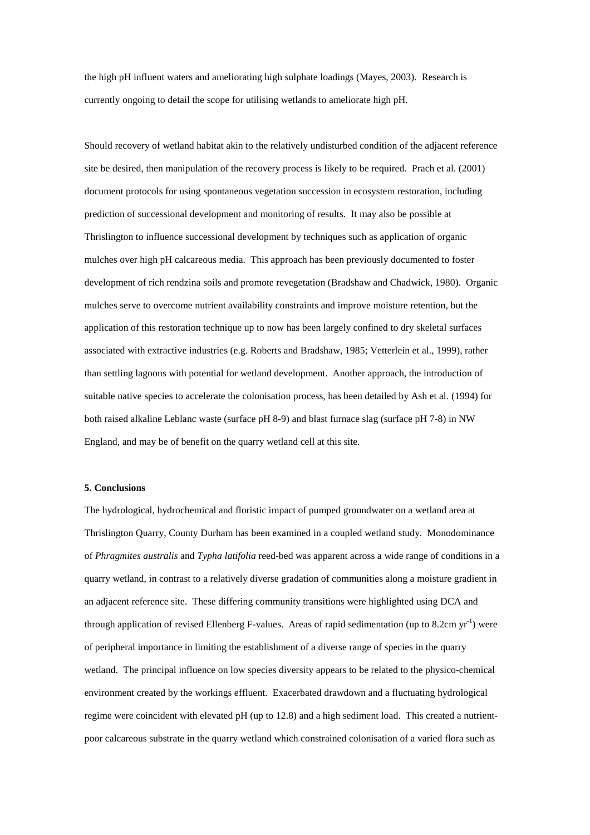the high pH influent waters and ameliorating high sulphate loadings (Mayes, 2003). Research is currently ongoing to detail the scope for utilising wetlands to ameliorate high pH.

Should recovery of wetland habitat akin to the relatively undisturbed condition of the adjacent reference site be desired, then manipulation of the recovery process is likely to be required. Prach et al. (2001) document protocols for using spontaneous vegetation succession in ecosystem restoration, including prediction of successional development and monitoring of results. It may also be possible at Thrislington to influence successional development by techniques such as application of organic mulches over high pH calcareous media. This approach has been previously documented to foster development of rich rendzina soils and promote revegetation (Bradshaw and Chadwick, 1980). Organic mulches serve to overcome nutrient availability constraints and improve moisture retention, but the application of this restoration technique up to now has been largely confined to dry skeletal surfaces associated with extractive industries (e.g. Roberts and Bradshaw, 1985; Vetterlein et al., 1999), rather than settling lagoons with potential for wetland development. Another approach, the introduction of suitable native species to accelerate the colonisation process, has been detailed by Ash et al. (1994) for both raised alkaline Leblanc waste (surface pH 8-9) and blast furnace slag (surface pH 7-8) in NW England, and may be of benefit on the quarry wetland cell at this site.

### **5. Conclusions**

The hydrological, hydrochemical and floristic impact of pumped groundwater on a wetland area at Thrislington Quarry, County Durham has been examined in a coupled wetland study. Monodominance of *Phragmites australis* and *Typha latifolia* reed-bed was apparent across a wide range of conditions in a quarry wetland, in contrast to a relatively diverse gradation of communities along a moisture gradient in an adjacent reference site. These differing community transitions were highlighted using DCA and through application of revised Ellenberg F-values. Areas of rapid sedimentation (up to  $8.2 \text{cm yr}^{-1}$ ) were of peripheral importance in limiting the establishment of a diverse range of species in the quarry wetland. The principal influence on low species diversity appears to be related to the physico-chemical environment created by the workings effluent. Exacerbated drawdown and a fluctuating hydrological regime were coincident with elevated pH (up to 12.8) and a high sediment load. This created a nutrientpoor calcareous substrate in the quarry wetland which constrained colonisation of a varied flora such as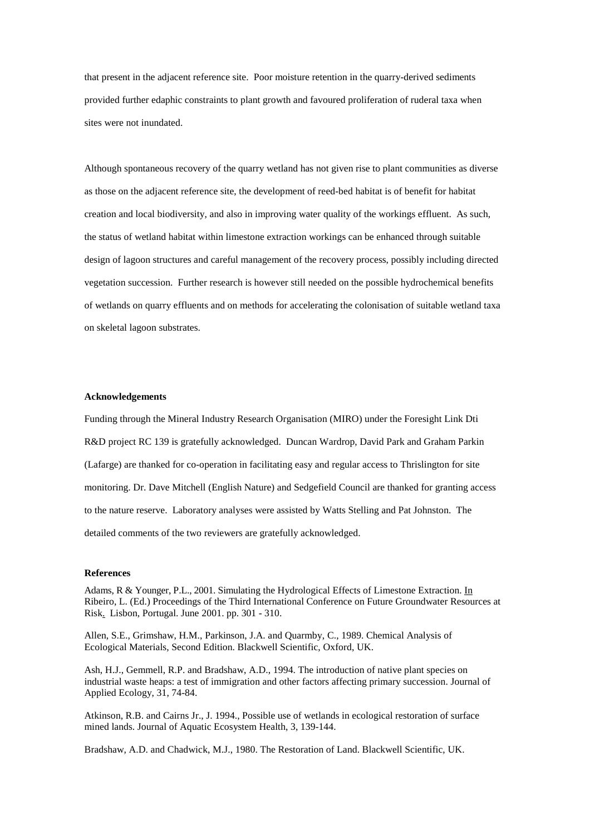that present in the adjacent reference site. Poor moisture retention in the quarry-derived sediments provided further edaphic constraints to plant growth and favoured proliferation of ruderal taxa when sites were not inundated.

Although spontaneous recovery of the quarry wetland has not given rise to plant communities as diverse as those on the adjacent reference site, the development of reed-bed habitat is of benefit for habitat creation and local biodiversity, and also in improving water quality of the workings effluent. As such, the status of wetland habitat within limestone extraction workings can be enhanced through suitable design of lagoon structures and careful management of the recovery process, possibly including directed vegetation succession. Further research is however still needed on the possible hydrochemical benefits of wetlands on quarry effluents and on methods for accelerating the colonisation of suitable wetland taxa on skeletal lagoon substrates.

#### **Acknowledgements**

Funding through the Mineral Industry Research Organisation (MIRO) under the Foresight Link Dti R&D project RC 139 is gratefully acknowledged. Duncan Wardrop, David Park and Graham Parkin (Lafarge) are thanked for co-operation in facilitating easy and regular access to Thrislington for site monitoring. Dr. Dave Mitchell (English Nature) and Sedgefield Council are thanked for granting access to the nature reserve. Laboratory analyses were assisted by Watts Stelling and Pat Johnston. The detailed comments of the two reviewers are gratefully acknowledged.

#### **References**

Adams, R & Younger, P.L., 2001. Simulating the Hydrological Effects of Limestone Extraction. In Ribeiro, L. (Ed.) Proceedings of the Third International Conference on Future Groundwater Resources at Risk. Lisbon, Portugal. June 2001. pp. 301 - 310.

Allen, S.E., Grimshaw, H.M., Parkinson, J.A. and Quarmby, C., 1989. Chemical Analysis of Ecological Materials, Second Edition. Blackwell Scientific, Oxford, UK.

Ash, H.J., Gemmell, R.P. and Bradshaw, A.D., 1994. The introduction of native plant species on industrial waste heaps: a test of immigration and other factors affecting primary succession. Journal of Applied Ecology, 31, 74-84.

Atkinson, R.B. and Cairns Jr., J. 1994., Possible use of wetlands in ecological restoration of surface mined lands. Journal of Aquatic Ecosystem Health, 3, 139-144.

Bradshaw, A.D. and Chadwick, M.J., 1980. The Restoration of Land. Blackwell Scientific, UK.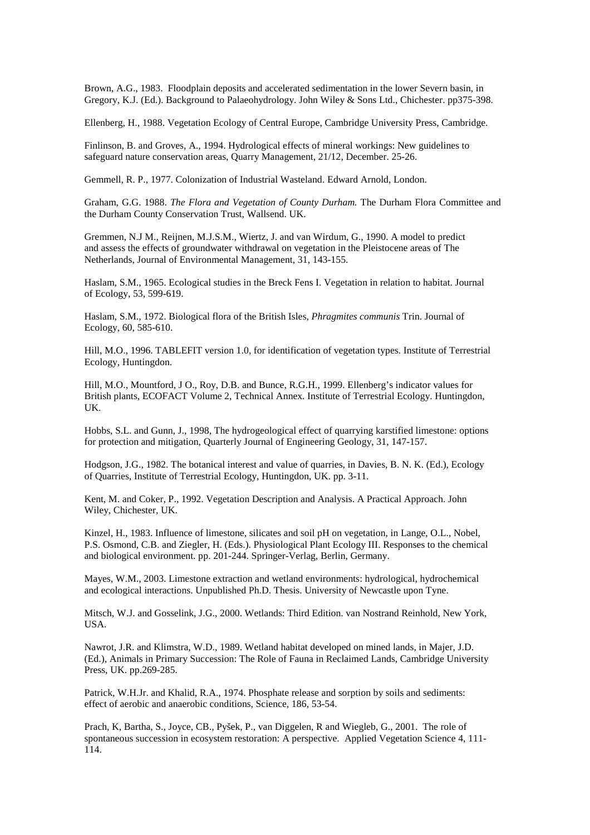Brown, A.G., 1983. Floodplain deposits and accelerated sedimentation in the lower Severn basin, in Gregory, K.J. (Ed.). Background to Palaeohydrology. John Wiley & Sons Ltd., Chichester. pp375-398.

Ellenberg, H., 1988. Vegetation Ecology of Central Europe, Cambridge University Press, Cambridge.

Finlinson, B. and Groves, A., 1994. Hydrological effects of mineral workings: New guidelines to safeguard nature conservation areas, Quarry Management, 21/12, December. 25-26.

Gemmell, R. P., 1977. Colonization of Industrial Wasteland. Edward Arnold, London.

Graham, G.G. 1988. *The Flora and Vegetation of County Durham.* The Durham Flora Committee and the Durham County Conservation Trust, Wallsend. UK.

Gremmen, N.J M., Reijnen, M.J.S.M., Wiertz, J. and van Wirdum, G., 1990. A model to predict and assess the effects of groundwater withdrawal on vegetation in the Pleistocene areas of The Netherlands, Journal of Environmental Management, 31, 143-155.

Haslam, S.M., 1965. Ecological studies in the Breck Fens I. Vegetation in relation to habitat. Journal of Ecology, 53, 599-619.

Haslam, S.M., 1972. Biological flora of the British Isles, *Phragmites communis* Trin. Journal of Ecology, 60, 585-610.

Hill, M.O., 1996. TABLEFIT version 1.0, for identification of vegetation types. Institute of Terrestrial Ecology, Huntingdon.

Hill, M.O., Mountford, J O., Roy, D.B. and Bunce, R.G.H., 1999. Ellenberg's indicator values for British plants, ECOFACT Volume 2, Technical Annex. Institute of Terrestrial Ecology. Huntingdon, UK.

Hobbs, S.L. and Gunn, J., 1998, The hydrogeological effect of quarrying karstified limestone: options for protection and mitigation, Quarterly Journal of Engineering Geology, 31, 147-157.

Hodgson, J.G., 1982. The botanical interest and value of quarries, in Davies, B. N. K. (Ed.), Ecology of Quarries, Institute of Terrestrial Ecology, Huntingdon, UK. pp. 3-11.

Kent, M. and Coker, P., 1992. Vegetation Description and Analysis. A Practical Approach. John Wiley, Chichester, UK.

Kinzel, H., 1983. Influence of limestone, silicates and soil pH on vegetation, in Lange, O.L., Nobel, P.S. Osmond, C.B. and Ziegler, H. (Eds.). Physiological Plant Ecology III. Responses to the chemical and biological environment. pp. 201-244. Springer-Verlag, Berlin, Germany.

Mayes, W.M., 2003. Limestone extraction and wetland environments: hydrological, hydrochemical and ecological interactions. Unpublished Ph.D. Thesis. University of Newcastle upon Tyne.

Mitsch, W.J. and Gosselink, J.G., 2000. Wetlands: Third Edition. van Nostrand Reinhold, New York, USA.

Nawrot, J.R. and Klimstra, W.D., 1989. Wetland habitat developed on mined lands, in Majer, J.D. (Ed.), Animals in Primary Succession: The Role of Fauna in Reclaimed Lands, Cambridge University Press, UK. pp.269-285.

Patrick, W.H.Jr. and Khalid, R.A., 1974. Phosphate release and sorption by soils and sediments: effect of aerobic and anaerobic conditions, Science, 186, 53-54.

Prach, K, Bartha, S., Joyce, CB., Pyšek, P., van Diggelen, R and Wiegleb, G., 2001. The role of spontaneous succession in ecosystem restoration: A perspective. Applied Vegetation Science 4, 111- 114.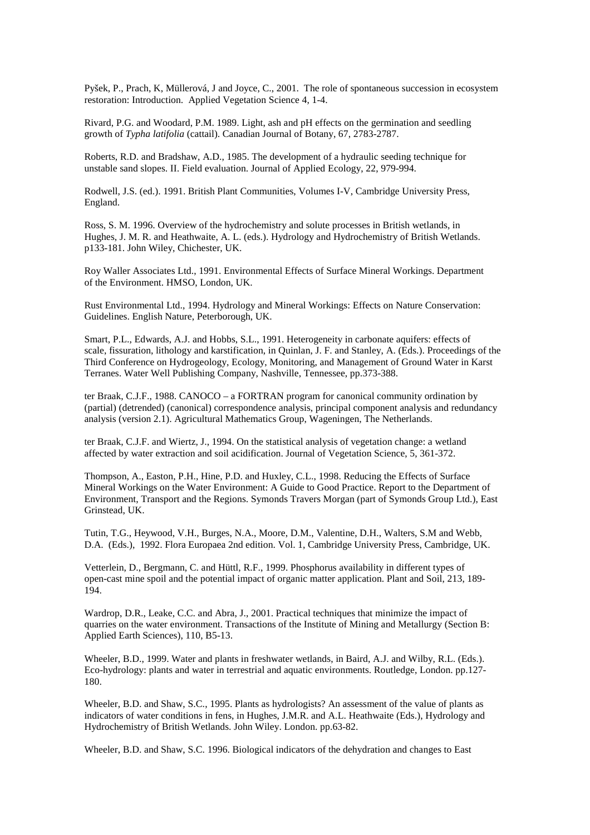Pyšek, P., Prach, K, Müllerová, J and Joyce, C., 2001. The role of spontaneous succession in ecosystem restoration: Introduction. Applied Vegetation Science 4, 1-4.

Rivard, P.G. and Woodard, P.M. 1989. Light, ash and pH effects on the germination and seedling growth of *Typha latifolia* (cattail). Canadian Journal of Botany, 67, 2783-2787.

Roberts, R.D. and Bradshaw, A.D., 1985. The development of a hydraulic seeding technique for unstable sand slopes. II. Field evaluation. Journal of Applied Ecology, 22, 979-994.

Rodwell, J.S. (ed.). 1991. British Plant Communities, Volumes I-V, Cambridge University Press, England.

Ross, S. M. 1996. Overview of the hydrochemistry and solute processes in British wetlands, in Hughes, J. M. R. and Heathwaite, A. L. (eds.). Hydrology and Hydrochemistry of British Wetlands. p133-181. John Wiley, Chichester, UK.

Roy Waller Associates Ltd., 1991. Environmental Effects of Surface Mineral Workings. Department of the Environment. HMSO, London, UK.

Rust Environmental Ltd., 1994. Hydrology and Mineral Workings: Effects on Nature Conservation: Guidelines. English Nature, Peterborough, UK.

Smart, P.L., Edwards, A.J. and Hobbs, S.L., 1991. Heterogeneity in carbonate aquifers: effects of scale, fissuration, lithology and karstification, in Quinlan, J. F. and Stanley, A. (Eds.). Proceedings of the Third Conference on Hydrogeology, Ecology, Monitoring, and Management of Ground Water in Karst Terranes. Water Well Publishing Company, Nashville, Tennessee, pp.373-388.

ter Braak, C.J.F., 1988. CANOCO – a FORTRAN program for canonical community ordination by (partial) (detrended) (canonical) correspondence analysis, principal component analysis and redundancy analysis (version 2.1). Agricultural Mathematics Group, Wageningen, The Netherlands.

ter Braak, C.J.F. and Wiertz, J., 1994. On the statistical analysis of vegetation change: a wetland affected by water extraction and soil acidification. Journal of Vegetation Science, 5, 361-372.

Thompson, A., Easton, P.H., Hine, P.D. and Huxley, C.L., 1998. Reducing the Effects of Surface Mineral Workings on the Water Environment: A Guide to Good Practice. Report to the Department of Environment, Transport and the Regions. Symonds Travers Morgan (part of Symonds Group Ltd.), East Grinstead, UK.

Tutin, T.G., Heywood, V.H., Burges, N.A., Moore, D.M., Valentine, D.H., Walters, S.M and Webb, D.A. (Eds.), 1992. Flora Europaea 2nd edition. Vol. 1, Cambridge University Press, Cambridge, UK.

Vetterlein, D., Bergmann, C. and Hüttl, R.F., 1999. Phosphorus availability in different types of open-cast mine spoil and the potential impact of organic matter application. Plant and Soil, 213, 189- 194.

Wardrop, D.R., Leake, C.C. and Abra, J., 2001. Practical techniques that minimize the impact of quarries on the water environment. Transactions of the Institute of Mining and Metallurgy (Section B: Applied Earth Sciences), 110, B5-13.

Wheeler, B.D., 1999. Water and plants in freshwater wetlands, in Baird, A.J. and Wilby, R.L. (Eds.). Eco-hydrology: plants and water in terrestrial and aquatic environments. Routledge, London. pp.127- 180.

Wheeler, B.D. and Shaw, S.C., 1995. Plants as hydrologists? An assessment of the value of plants as indicators of water conditions in fens, in Hughes, J.M.R. and A.L. Heathwaite (Eds.), Hydrology and Hydrochemistry of British Wetlands. John Wiley. London. pp.63-82.

Wheeler, B.D. and Shaw, S.C. 1996. Biological indicators of the dehydration and changes to East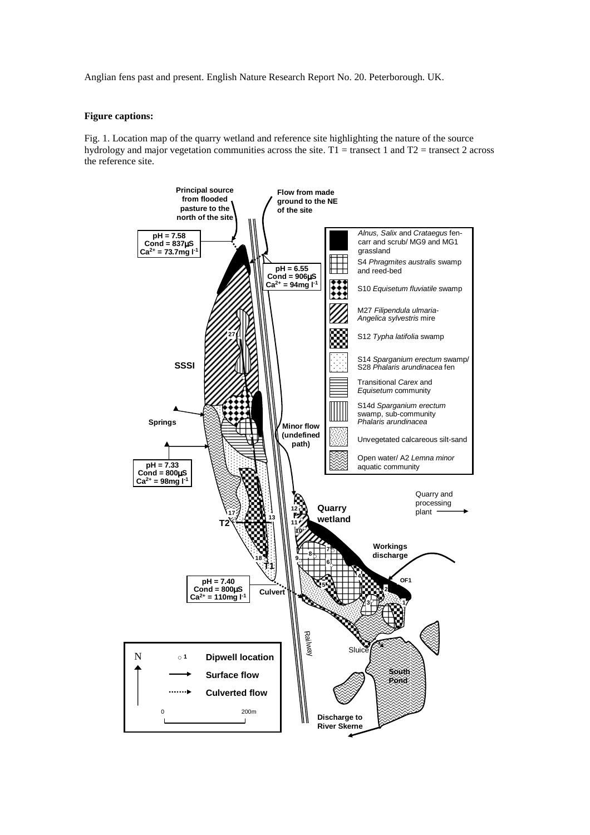Anglian fens past and present. English Nature Research Report No. 20. Peterborough. UK.

# **Figure captions:**

Fig. 1. Location map of the quarry wetland and reference site highlighting the nature of the source hydrology and major vegetation communities across the site. T1 = transect 1 and T2 = transect 2 across the reference site.

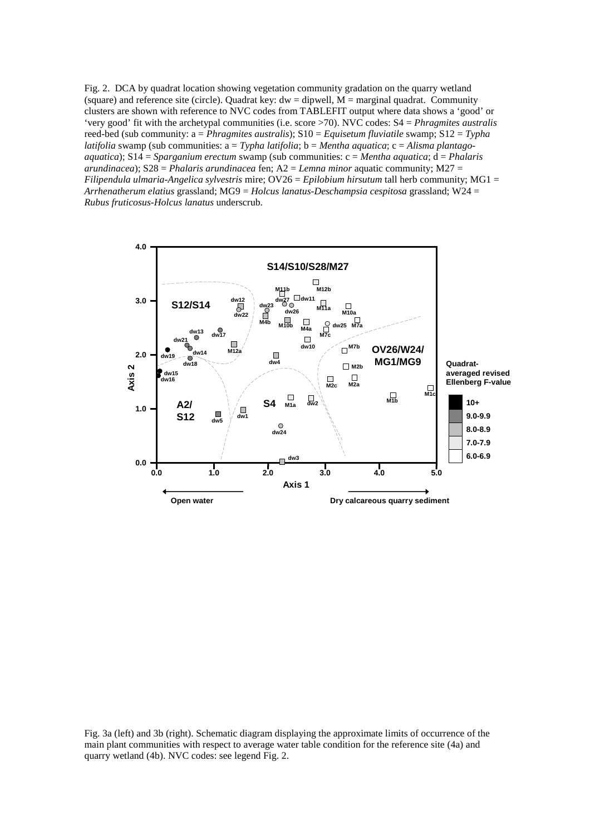Fig. 2. DCA by quadrat location showing vegetation community gradation on the quarry wetland (square) and reference site (circle). Quadrat key:  $dw =$  dipwell,  $M =$  marginal quadrat. Community clusters are shown with reference to NVC codes from TABLEFIT output where data shows a 'good' or 'very good' fit with the archetypal communities (i.e. score >70). NVC codes: S4 = *Phragmites australis*  reed-bed (sub community: a = *Phragmites australis*); S10 = *Equisetum fluviatile* swamp; S12 = *Typha latifolia* swamp (sub communities: a = *Typha latifolia*; b = *Mentha aquatica*; c = *Alisma plantagoaquatica*); S14 = *Sparganium erectum* swamp (sub communities: c = *Mentha aquatica*; d = *Phalaris arundinacea*); S28 = *Phalaris arundinacea* fen; A2 = *Lemna minor* aquatic community; M27 = *Filipendula ulmaria-Angelica sylvestris* mire; OV26 = *Epilobium hirsutum* tall herb community; MG1 = *Arrhenatherum elatius* grassland; MG9 = *Holcus lanatus-Deschampsia cespitosa* grassland; W24 = *Rubus fruticosus-Holcus lanatus* underscrub.



Fig. 3a (left) and 3b (right). Schematic diagram displaying the approximate limits of occurrence of the main plant communities with respect to average water table condition for the reference site (4a) and quarry wetland (4b). NVC codes: see legend Fig. 2.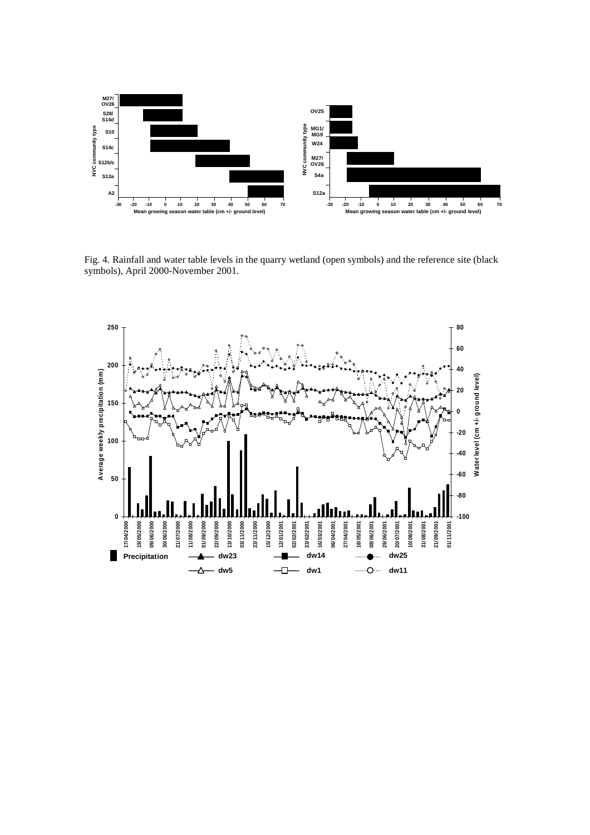

Fig. 4. Rainfall and water table levels in the quarry wetland (open symbols) and the reference site (black symbols), April 2000-November 2001.